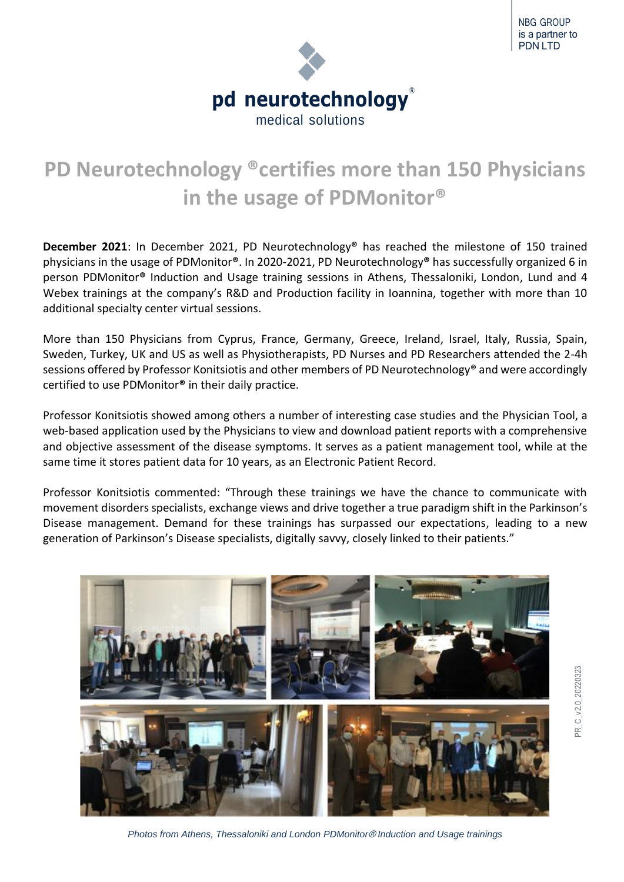

**PD Neurotechnology ®certifies more than 150 Physicians in the usage of PDMonitor®**

**December 2021**: In December 2021, PD Neurotechnology**®** has reached the milestone of 150 trained physicians in the usage of PDMonitor**®**. In 2020-2021, PD Neurotechnology**®** has successfully organized 6 in person PDMonitor**®** Induction and Usage training sessions in Athens, Thessaloniki, London, Lund and 4 Webex trainings at the company's R&D and Production facility in Ioannina, together with more than 10 additional specialty center virtual sessions.

More than 150 Physicians from Cyprus, France, Germany, Greece, Ireland, Israel, Italy, Russia, Spain, Sweden, Turkey, UK and US as well as Physiotherapists, PD Nurses and PD Researchers attended the 2-4h sessions offered by Professor Konitsiotis and other members of PD Neurotechnology® and were accordingly certified to use PDMonitor**®** in their daily practice.

Professor Konitsiotis showed among others a number of interesting case studies and the Physician Tool, a web-based application used by the Physicians to view and download patient reports with a comprehensive and objective assessment of the disease symptoms. It serves as a patient management tool, while at the same time it stores patient data for 10 years, as an Electronic Patient Record.

Professor Konitsiotis commented: "Through these trainings we have the chance to communicate with movement disorders specialists, exchange views and drive together a true paradigm shift in the Parkinson's Disease management. Demand for these trainings has surpassed our expectations, leading to a new generation of Parkinson's Disease specialists, digitally savvy, closely linked to their patients."



*Photos from Athens, Thessaloniki and London PDMonitor*® *Induction and Usage trainings*

PR\_C\_v2.0\_20220323 PR C v2.0 20220323

NBG GROUP is a partner to PDN LTD